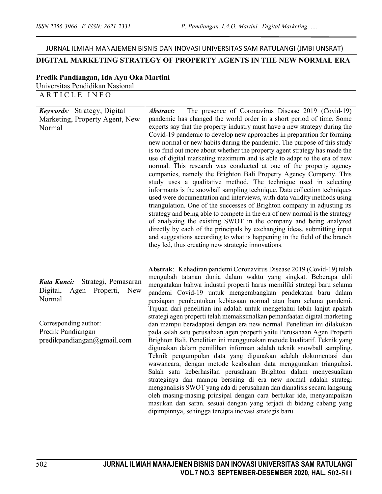# JURNAL ILMIAH MANAJEMEN BISNIS DAN INOVASI UNIVERSITAS SAM RATULANGI (JMBI UNSRAT)

## **DIGITAL MARKETING STRATEGY OF PROPERTY AGENTS IN THE NEW NORMAL ERA**

#### **Predik Pandiangan, Ida Ayu Oka Martini**

Universitas Pendidikan Nasional

ARTICLE INFO

| Keywords: Strategy, Digital<br>Marketing, Property Agent, New<br>Normal                  | The presence of Coronavirus Disease 2019 (Covid-19)<br><i><b>Abstract:</b></i><br>pandemic has changed the world order in a short period of time. Some<br>experts say that the property industry must have a new strategy during the<br>Covid-19 pandemic to develop new approaches in preparation for forming<br>new normal or new habits during the pandemic. The purpose of this study<br>is to find out more about whether the property agent strategy has made the<br>use of digital marketing maximum and is able to adapt to the era of new<br>normal. This research was conducted at one of the property agency<br>companies, namely the Brighton Bali Property Agency Company. This<br>study uses a qualitative method. The technique used in selecting<br>informants is the snowball sampling technique. Data collection techniques<br>used were documentation and interviews, with data validity methods using<br>triangulation. One of the successes of Brighton company in adjusting its<br>strategy and being able to compete in the era of new normal is the strategy<br>of analyzing the existing SWOT in the company and being analyzed<br>directly by each of the principals by exchanging ideas, submitting input<br>and suggestions according to what is happening in the field of the branch |
|------------------------------------------------------------------------------------------|-------------------------------------------------------------------------------------------------------------------------------------------------------------------------------------------------------------------------------------------------------------------------------------------------------------------------------------------------------------------------------------------------------------------------------------------------------------------------------------------------------------------------------------------------------------------------------------------------------------------------------------------------------------------------------------------------------------------------------------------------------------------------------------------------------------------------------------------------------------------------------------------------------------------------------------------------------------------------------------------------------------------------------------------------------------------------------------------------------------------------------------------------------------------------------------------------------------------------------------------------------------------------------------------------------------------|
| Kata Kunci:<br>Strategi, Pemasaran<br>Agen Properti,<br>Digital,<br><b>New</b><br>Normal | they led, thus creating new strategic innovations.<br>Abstrak: Kehadiran pandemi Coronavirus Disease 2019 (Covid-19) telah<br>mengubah tatanan dunia dalam waktu yang singkat. Beberapa ahli<br>mengatakan bahwa industri properti harus memiliki strategi baru selama<br>pandemi Covid-19 untuk mengembangkan pendekatan baru dalam<br>persiapan pembentukan kebiasaan normal atau baru selama pandemi.<br>Tujuan dari penelitian ini adalah untuk mengetahui lebih lanjut apakah<br>strategi agen properti telah memaksimalkan pemanfaatan digital marketing                                                                                                                                                                                                                                                                                                                                                                                                                                                                                                                                                                                                                                                                                                                                                    |
| Corresponding author:<br>Predik Pandiangan<br>predikpandiangan@gmail.com                 | dan mampu beradaptasi dengan era new normal. Penelitian ini dilakukan<br>pada salah satu perusahaan agen properti yaitu Perusahaan Agen Properti<br>Brighton Bali. Penelitian ini menggunakan metode kualitatif. Teknik yang<br>digunakan dalam pemilihan informan adalah teknik snowball sampling.<br>Teknik pengumpulan data yang digunakan adalah dokumentasi dan<br>wawancara, dengan metode keabsahan data menggunakan triangulasi.<br>Salah satu keberhasilan perusahaan Brighton dalam menyesuaikan<br>strateginya dan mampu bersaing di era new normal adalah strategi<br>menganalisis SWOT yang ada di perusahaan dan dianalisis secara langsung<br>oleh masing-masing prinsipal dengan cara bertukar ide, menyampaikan<br>masukan dan saran. sesuai dengan yang terjadi di bidang cabang yang<br>dipimpinnya, sehingga tercipta inovasi strategis baru.                                                                                                                                                                                                                                                                                                                                                                                                                                                 |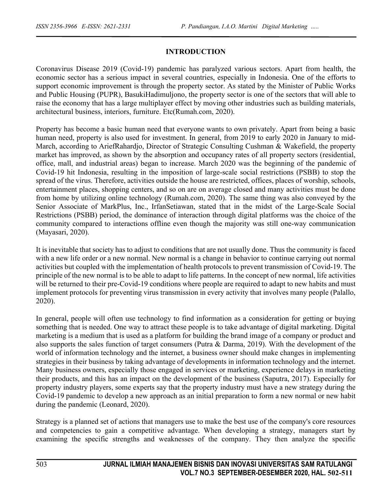#### **INTRODUCTION**

Coronavirus Disease 2019 (Covid-19) pandemic has paralyzed various sectors. Apart from health, the economic sector has a serious impact in several countries, especially in Indonesia. One of the efforts to support economic improvement is through the property sector. As stated by the Minister of Public Works and Public Housing (PUPR), BasukiHadimuljono, the property sector is one of the sectors that will able to raise the economy that has a large multiplayer effect by moving other industries such as building materials, architectural business, interiors, furniture. Etc(Rumah.com, 2020).

Property has become a basic human need that everyone wants to own privately. Apart from being a basic human need, property is also used for investment. In general, from 2019 to early 2020 in January to mid-March, according to AriefRahardjo, Director of Strategic Consulting Cushman & Wakefield, the property market has improved, as shown by the absorption and occupancy rates of all property sectors (residential, office, mall, and industrial areas) began to increase. March 2020 was the beginning of the pandemic of Covid-19 hit Indonesia, resulting in the imposition of large-scale social restrictions (PSBB) to stop the spread of the virus. Therefore, activities outside the house are restricted, offices, places of worship, schools, entertainment places, shopping centers, and so on are on average closed and many activities must be done from home by utilizing online technology (Rumah.com, 2020). The same thing was also conveyed by the Senior Associate of MarkPlus, Inc., IrfanSetiawan, stated that in the midst of the Large-Scale Social Restrictions (PSBB) period, the dominance of interaction through digital platforms was the choice of the community compared to interactions offline even though the majority was still one-way communication (Mayasari, 2020).

It is inevitable that society has to adjust to conditions that are not usually done. Thus the community is faced with a new life order or a new normal. New normal is a change in behavior to continue carrying out normal activities but coupled with the implementation of health protocols to prevent transmission of Covid-19. The principle of the new normal is to be able to adapt to life patterns. In the concept of new normal, life activities will be returned to their pre-Covid-19 conditions where people are required to adapt to new habits and must implement protocols for preventing virus transmission in every activity that involves many people (Palallo, 2020).

In general, people will often use technology to find information as a consideration for getting or buying something that is needed. One way to attract these people is to take advantage of digital marketing. Digital marketing is a medium that is used as a platform for building the brand image of a company or product and also supports the sales function of target consumers (Putra & Darma, 2019). With the development of the world of information technology and the internet, a business owner should make changes in implementing strategies in their business by taking advantage of developments in information technology and the internet. Many business owners, especially those engaged in services or marketing, experience delays in marketing their products, and this has an impact on the development of the business (Saputra, 2017). Especially for property industry players, some experts say that the property industry must have a new strategy during the Covid-19 pandemic to develop a new approach as an initial preparation to form a new normal or new habit during the pandemic (Leonard, 2020).

Strategy is a planned set of actions that managers use to make the best use of the company's core resources and competencies to gain a competitive advantage. When developing a strategy, managers start by examining the specific strengths and weaknesses of the company. They then analyze the specific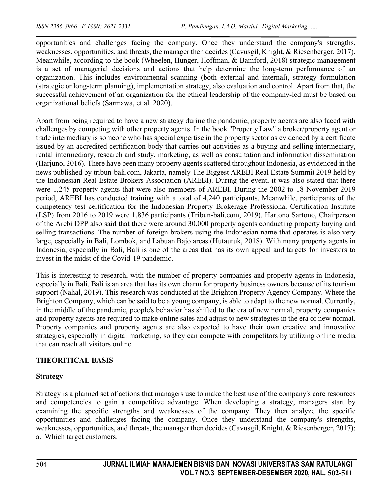opportunities and challenges facing the company. Once they understand the company's strengths, weaknesses, opportunities, and threats, the manager then decides (Cavusgil, Knight, & Riesenberger, 2017). Meanwhile, according to the book (Wheelen, Hunger, Hoffman, & Bamford, 2018) strategic management is a set of managerial decisions and actions that help determine the long-term performance of an organization. This includes environmental scanning (both external and internal), strategy formulation (strategic or long-term planning), implementation strategy, also evaluation and control. Apart from that, the successful achievement of an organization for the ethical leadership of the company-led must be based on organizational beliefs (Sarmawa, et al. 2020).

Apart from being required to have a new strategy during the pandemic, property agents are also faced with challenges by competing with other property agents. In the book "Property Law" a broker/property agent or trade intermediary is someone who has special expertise in the property sector as evidenced by a certificate issued by an accredited certification body that carries out activities as a buying and selling intermediary, rental intermediary, research and study, marketing, as well as consultation and information dissemination (Harjuno, 2016). There have been many property agents scattered throughout Indonesia, as evidenced in the news published by tribun-bali.com, Jakarta, namely The Biggest AREBI Real Estate Summit 2019 held by the Indonesian Real Estate Brokers Association (AREBI). During the event, it was also stated that there were 1,245 property agents that were also members of AREBI. During the 2002 to 18 November 2019 period, AREBI has conducted training with a total of 4,240 participants. Meanwhile, participants of the competency test certification for the Indonesian Property Brokerage Professional Certification Institute (LSP) from 2016 to 2019 were 1,836 participants (Tribun-bali.com, 2019). Hartono Sartono, Chairperson of the Arebi DPP also said that there were around 30,000 property agents conducting property buying and selling transactions. The number of foreign brokers using the Indonesian name that operates is also very large, especially in Bali, Lombok, and Labuan Bajo areas (Hutauruk, 2018). With many property agents in Indonesia, especially in Bali, Bali is one of the areas that has its own appeal and targets for investors to invest in the midst of the Covid-19 pandemic.

This is interesting to research, with the number of property companies and property agents in Indonesia, especially in Bali. Bali is an area that has its own charm for property business owners because of its tourism support (Nahal, 2019). This research was conducted at the Brighton Property Agency Company. Where the Brighton Company, which can be said to be a young company, is able to adapt to the new normal. Currently, in the middle of the pandemic, people's behavior has shifted to the era of new normal, property companies and property agents are required to make online sales and adjust to new strategies in the era of new normal. Property companies and property agents are also expected to have their own creative and innovative strategies, especially in digital marketing, so they can compete with competitors by utilizing online media that can reach all visitors online.

### **THEORITICAL BASIS**

### **Strategy**

Strategy is a planned set of actions that managers use to make the best use of the company's core resources and competencies to gain a competitive advantage. When developing a strategy, managers start by examining the specific strengths and weaknesses of the company. They then analyze the specific opportunities and challenges facing the company. Once they understand the company's strengths, weaknesses, opportunities, and threats, the manager then decides (Cavusgil, Knight, & Riesenberger, 2017): a. Which target customers.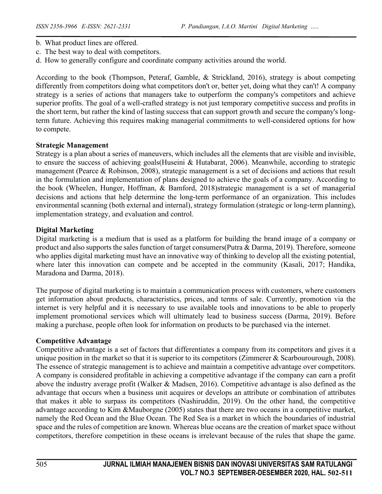- b. What product lines are offered.
- c. The best way to deal with competitors.
- d. How to generally configure and coordinate company activities around the world.

According to the book (Thompson, Peteraf, Gamble, & Strickland, 2016), strategy is about competing differently from competitors doing what competitors don't or, better yet, doing what they can't! A company strategy is a series of actions that managers take to outperform the company's competitors and achieve superior profits. The goal of a well-crafted strategy is not just temporary competitive success and profits in the short term, but rather the kind of lasting success that can support growth and secure the company's longterm future. Achieving this requires making managerial commitments to well-considered options for how to compete.

#### **Strategic Management**

Strategy is a plan about a series of maneuvers, which includes all the elements that are visible and invisible, to ensure the success of achieving goals(Huseini & Hutabarat, 2006). Meanwhile, according to strategic management (Pearce & Robinson, 2008), strategic management is a set of decisions and actions that result in the formulation and implementation of plans designed to achieve the goals of a company. According to the book (Wheelen, Hunger, Hoffman, & Bamford, 2018)strategic management is a set of managerial decisions and actions that help determine the long-term performance of an organization. This includes environmental scanning (both external and internal), strategy formulation (strategic or long-term planning), implementation strategy, and evaluation and control.

#### **Digital Marketing**

Digital marketing is a medium that is used as a platform for building the brand image of a company or product and also supports the sales function of target consumers(Putra & Darma, 2019). Therefore, someone who applies digital marketing must have an innovative way of thinking to develop all the existing potential, where later this innovation can compete and be accepted in the community (Kasali, 2017; Handika, Maradona and Darma, 2018).

The purpose of digital marketing is to maintain a communication process with customers, where customers get information about products, characteristics, prices, and terms of sale. Currently, promotion via the internet is very helpful and it is necessary to use available tools and innovations to be able to properly implement promotional services which will ultimately lead to business success (Darma, 2019). Before making a purchase, people often look for information on products to be purchased via the internet.

#### **Competitive Advantage**

Competitive advantage is a set of factors that differentiates a company from its competitors and gives it a unique position in the market so that it is superior to its competitors (Zimmerer & Scarbourourough, 2008). The essence of strategic management is to achieve and maintain a competitive advantage over competitors. A company is considered profitable in achieving a competitive advantage if the company can earn a profit above the industry average profit (Walker & Madsen, 2016). Competitive advantage is also defined as the advantage that occurs when a business unit acquires or develops an attribute or combination of attributes that makes it able to surpass its competitors (Nashiruddin, 2019). On the other hand, the competitive advantage according to Kim &Mauborgne (2005) states that there are two oceans in a competitive market, namely the Red Ocean and the Blue Ocean. The Red Sea is a market in which the boundaries of industrial space and the rules of competition are known. Whereas blue oceans are the creation of market space without competitors, therefore competition in these oceans is irrelevant because of the rules that shape the game.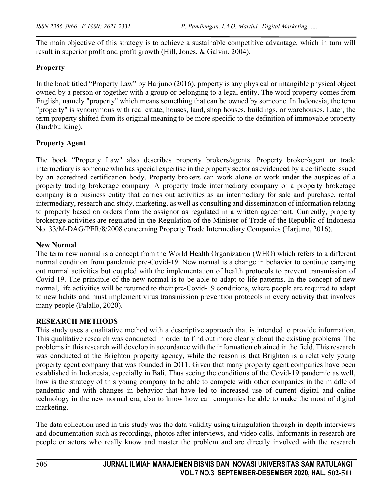The main objective of this strategy is to achieve a sustainable competitive advantage, which in turn will result in superior profit and profit growth (Hill, Jones, & Galvin, 2004).

### **Property**

In the book titled "Property Law" by Harjuno (2016), property is any physical or intangible physical object owned by a person or together with a group or belonging to a legal entity. The word property comes from English, namely "property" which means something that can be owned by someone. In Indonesia, the term "property" is synonymous with real estate, houses, land, shop houses, buildings, or warehouses. Later, the term property shifted from its original meaning to be more specific to the definition of immovable property (land/building).

### **Property Agent**

The book "Property Law" also describes property brokers/agents. Property broker/agent or trade intermediary is someone who has special expertise in the property sector as evidenced by a certificate issued by an accredited certification body. Property brokers can work alone or work under the auspices of a property trading brokerage company. A property trade intermediary company or a property brokerage company is a business entity that carries out activities as an intermediary for sale and purchase, rental intermediary, research and study, marketing, as well as consulting and dissemination of information relating to property based on orders from the assignor as regulated in a written agreement. Currently, property brokerage activities are regulated in the Regulation of the Minister of Trade of the Republic of Indonesia No. 33/M-DAG/PER/8/2008 concerning Property Trade Intermediary Companies (Harjuno, 2016).

#### **New Normal**

The term new normal is a concept from the World Health Organization (WHO) which refers to a different normal condition from pandemic pre-Covid-19. New normal is a change in behavior to continue carrying out normal activities but coupled with the implementation of health protocols to prevent transmission of Covid-19. The principle of the new normal is to be able to adapt to life patterns. In the concept of new normal, life activities will be returned to their pre-Covid-19 conditions, where people are required to adapt to new habits and must implement virus transmission prevention protocols in every activity that involves many people (Palallo, 2020).

#### **RESEARCH METHODS**

This study uses a qualitative method with a descriptive approach that is intended to provide information. This qualitative research was conducted in order to find out more clearly about the existing problems. The problems in this research will develop in accordance with the information obtained in the field. This research was conducted at the Brighton property agency, while the reason is that Brighton is a relatively young property agent company that was founded in 2011. Given that many property agent companies have been established in Indonesia, especially in Bali. Thus seeing the conditions of the Covid-19 pandemic as well, how is the strategy of this young company to be able to compete with other companies in the middle of pandemic and with changes in behavior that have led to increased use of current digital and online technology in the new normal era, also to know how can companies be able to make the most of digital marketing.

The data collection used in this study was the data validity using triangulation through in-depth interviews and documentation such as recordings, photos after interviews, and video calls. Informants in research are people or actors who really know and master the problem and are directly involved with the research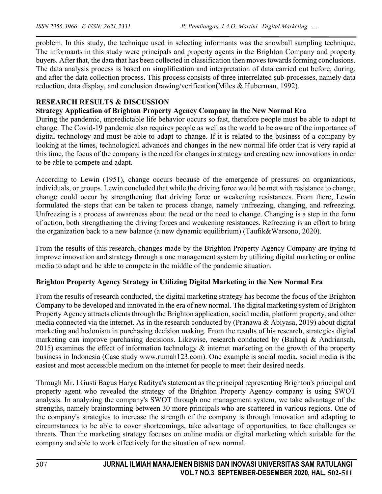problem. In this study, the technique used in selecting informants was the snowball sampling technique. The informants in this study were principals and property agents in the Brighton Company and property buyers. After that, the data that has been collected in classification then moves towards forming conclusions. The data analysis process is based on simplification and interpretation of data carried out before, during, and after the data collection process. This process consists of three interrelated sub-processes, namely data reduction, data display, and conclusion drawing/verification(Miles & Huberman, 1992).

### **RESEARCH RESULTS & DISCUSSION**

### **Strategy Application of Brighton Property Agency Company in the New Normal Era**

During the pandemic, unpredictable life behavior occurs so fast, therefore people must be able to adapt to change. The Covid-19 pandemic also requires people as well as the world to be aware of the importance of digital technology and must be able to adapt to change. If it is related to the business of a company by looking at the times, technological advances and changes in the new normal life order that is very rapid at this time, the focus of the company is the need for changes in strategy and creating new innovations in order to be able to compete and adapt.

According to Lewin (1951), change occurs because of the emergence of pressures on organizations, individuals, or groups. Lewin concluded that while the driving force would be met with resistance to change, change could occur by strengthening that driving force or weakening resistances. From there, Lewin formulated the steps that can be taken to process change, namely unfreezing, changing, and refreezing. Unfreezing is a process of awareness about the need or the need to change. Changing is a step in the form of action, both strengthening the driving forces and weakening resistances. Refreezing is an effort to bring the organization back to a new balance (a new dynamic equilibrium) (Taufik&Warsono, 2020).

From the results of this research, changes made by the Brighton Property Agency Company are trying to improve innovation and strategy through a one management system by utilizing digital marketing or online media to adapt and be able to compete in the middle of the pandemic situation.

### **Brighton Property Agency Strategy in Utilizing Digital Marketing in the New Normal Era**

From the results of research conducted, the digital marketing strategy has become the focus of the Brighton Company to be developed and innovated in the era of new normal. The digital marketing system of Brighton Property Agency attracts clients through the Brighton application, social media, platform property, and other media connected via the internet. As in the research conducted by (Pranawa & Abiyasa, 2019) about digital marketing and hedonism in purchasing decision making. From the results of his research, strategies digital marketing can improve purchasing decisions. Likewise, research conducted by (Baihaqi & Andriansah, 2015) examines the effect of information technology  $\&$  internet marketing on the growth of the property business in Indonesia (Case study www.rumah123.com). One example is social media, social media is the easiest and most accessible medium on the internet for people to meet their desired needs.

Through Mr. I Gusti Bagus Harya Raditya's statement as the principal representing Brighton's principal and property agent who revealed the strategy of the Brighton Property Agency company is using SWOT analysis. In analyzing the company's SWOT through one management system, we take advantage of the strengths, namely brainstorming between 30 more principals who are scattered in various regions. One of the company's strategies to increase the strength of the company is through innovation and adapting to circumstances to be able to cover shortcomings, take advantage of opportunities, to face challenges or threats. Then the marketing strategy focuses on online media or digital marketing which suitable for the company and able to work effectively for the situation of new normal.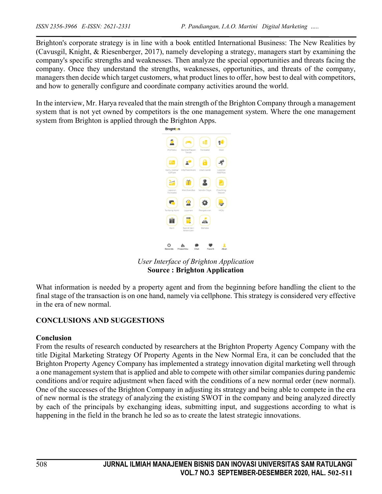Brighton's corporate strategy is in line with a book entitled International Business: The New Realities by (Cavusgil, Knight, & Riesenberger, 2017), namely developing a strategy, managers start by examining the company's specific strengths and weaknesses. Then analyze the special opportunities and threats facing the company. Once they understand the strengths, weaknesses, opportunities, and threats of the company, managers then decide which target customers, what product lines to offer, how best to deal with competitors, and how to generally configure and coordinate company activities around the world.

In the interview, Mr. Harya revealed that the main strength of the Brighton Company through a management system that is not yet owned by competitors is the one management system. Where the one management system from Brighton is applied through the Brighton Apps.



*User Interface of Brighton Application* **Source : Brighton Application**

What information is needed by a property agent and from the beginning before handling the client to the final stage of the transaction is on one hand, namely via cellphone. This strategy is considered very effective in the era of new normal.

### **CONCLUSIONS AND SUGGESTIONS**

### **Conclusion**

From the results of research conducted by researchers at the Brighton Property Agency Company with the title Digital Marketing Strategy Of Property Agents in the New Normal Era, it can be concluded that the Brighton Property Agency Company has implemented a strategy innovation digital marketing well through a one management system that is applied and able to compete with other similar companies during pandemic conditions and/or require adjustment when faced with the conditions of a new normal order (new normal). One of the successes of the Brighton Company in adjusting its strategy and being able to compete in the era of new normal is the strategy of analyzing the existing SWOT in the company and being analyzed directly by each of the principals by exchanging ideas, submitting input, and suggestions according to what is happening in the field in the branch he led so as to create the latest strategic innovations.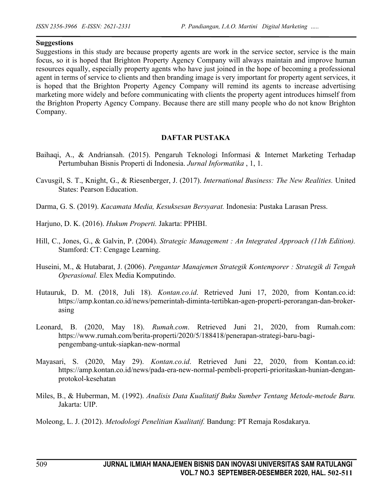#### **Suggestions**

Suggestions in this study are because property agents are work in the service sector, service is the main focus, so it is hoped that Brighton Property Agency Company will always maintain and improve human resources equally, especially property agents who have just joined in the hope of becoming a professional agent in terms of service to clients and then branding image is very important for property agent services, it is hoped that the Brighton Property Agency Company will remind its agents to increase advertising marketing more widely and before communicating with clients the property agent introduces himself from the Brighton Property Agency Company. Because there are still many people who do not know Brighton Company.

#### **DAFTAR PUSTAKA**

- Baihaqi, A., & Andriansah. (2015). Pengaruh Teknologi Informasi & Internet Marketing Terhadap Pertumbuhan Bisnis Properti di Indonesia. *Jurnal Informatika* , 1, 1.
- Cavusgil, S. T., Knight, G., & Riesenberger, J. (2017). *International Business: The New Realities.* United States: Pearson Education.
- Darma, G. S. (2019). *Kacamata Media, Kesuksesan Bersyarat.* Indonesia: Pustaka Larasan Press.
- Harjuno, D. K. (2016). *Hukum Properti.* Jakarta: PPHBI.
- Hill, C., Jones, G., & Galvin, P. (2004). *Strategic Management : An Integrated Approach (11th Edition).* Stamford: CT: Cengage Learning.
- Huseini, M., & Hutabarat, J. (2006). *Pengantar Manajemen Strategik Kontemporer : Strategik di Tengah Operasional.* Elex Media Komputindo.
- Hutauruk, D. M. (2018, Juli 18). *Kontan.co.id*. Retrieved Juni 17, 2020, from Kontan.co.id: https://amp.kontan.co.id/news/pemerintah-diminta-tertibkan-agen-properti-perorangan-dan-brokerasing
- Leonard, B. (2020, May 18). *Rumah.com*. Retrieved Juni 21, 2020, from Rumah.com: https://www.rumah.com/berita-properti/2020/5/188418/penerapan-strategi-baru-bagipengembang-untuk-siapkan-new-normal
- Mayasari, S. (2020, May 29). *Kontan.co.id*. Retrieved Juni 22, 2020, from Kontan.co.id: https://amp.kontan.co.id/news/pada-era-new-normal-pembeli-properti-prioritaskan-hunian-denganprotokol-kesehatan
- Miles, B., & Huberman, M. (1992). *Analisis Data Kualitatif Buku Sumber Tentang Metode-metode Baru.* Jakarta: UIP.
- Moleong, L. J. (2012). *Metodologi Penelitian Kualitatif.* Bandung: PT Remaja Rosdakarya.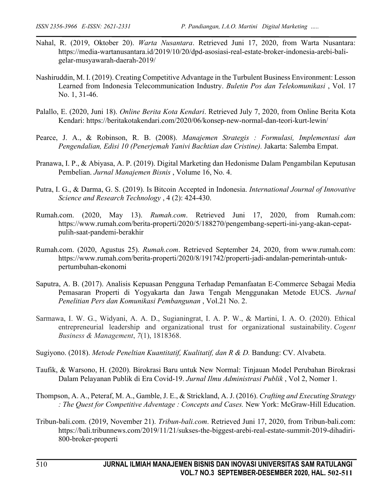- Nahal, R. (2019, Oktober 20). *Warta Nusantara*. Retrieved Juni 17, 2020, from Warta Nusantara: https://media-wartanusantara.id/2019/10/20/dpd-asosiasi-real-estate-broker-indonesia-arebi-baligelar-musyawarah-daerah-2019/
- Nashiruddin, M. I. (2019). Creating Competitive Advantage in the Turbulent Business Environment: Lesson Learned from Indonesia Telecommunication Industry. *Buletin Pos dan Telekomunikasi* , Vol. 17 No. 1, 31-46.
- Palallo, E. (2020, Juni 18). *Online Berita Kota Kendari*. Retrieved July 7, 2020, from Online Berita Kota Kendari: https://beritakotakendari.com/2020/06/konsep-new-normal-dan-teori-kurt-lewin/
- Pearce, J. A., & Robinson, R. B. (2008). *Manajemen Strategis : Formulasi, Implementasi dan Pengendalian, Edisi 10 (Penerjemah Yanivi Bachtian dan Cristine).* Jakarta: Salemba Empat.
- Pranawa, I. P., & Abiyasa, A. P. (2019). Digital Marketing dan Hedonisme Dalam Pengambilan Keputusan Pembelian. *Jurnal Manajemen Bisnis* , Volume 16, No. 4.
- Putra, I. G., & Darma, G. S. (2019). Is Bitcoin Accepted in Indonesia. *International Journal of Innovative Science and Research Technology* , 4 (2): 424-430.
- Rumah.com. (2020, May 13). *Rumah.com*. Retrieved Juni 17, 2020, from Rumah.com: https://www.rumah.com/berita-properti/2020/5/188270/pengembang-seperti-ini-yang-akan-cepatpulih-saat-pandemi-berakhir
- Rumah.com. (2020, Agustus 25). *Rumah.com*. Retrieved September 24, 2020, from www.rumah.com: https://www.rumah.com/berita-properti/2020/8/191742/properti-jadi-andalan-pemerintah-untukpertumbuhan-ekonomi
- Saputra, A. B. (2017). Analisis Kepuasan Pengguna Terhadap Pemanfaatan E-Commerce Sebagai Media Pemasaran Properti di Yogyakarta dan Jawa Tengah Menggunakan Metode EUCS. *Jurnal Penelitian Pers dan Komunikasi Pembangunan* , Vol.21 No. 2.
- Sarmawa, I. W. G., Widyani, A. A. D., Sugianingrat, I. A. P. W., & Martini, I. A. O. (2020). Ethical entrepreneurial leadership and organizational trust for organizational sustainability. *Cogent Business & Management*, *7*(1), 1818368.
- Sugiyono. (2018). *Metode Peneltian Kuantitatif, Kualitatif, dan R & D.* Bandung: CV. Alvabeta.
- Taufik, & Warsono, H. (2020). Birokrasi Baru untuk New Normal: Tinjauan Model Perubahan Birokrasi Dalam Pelayanan Publik di Era Covid-19. *Jurnal Ilmu Administrasi Publik* , Vol 2, Nomer 1.
- Thompson, A. A., Peteraf, M. A., Gamble, J. E., & Strickland, A. J. (2016). *Crafting and Executing Strategy : The Quest for Competitive Adventage : Concepts and Cases.* New York: McGraw-Hill Education.
- Tribun-bali.com. (2019, November 21). *Tribun-bali.com*. Retrieved Juni 17, 2020, from Tribun-bali.com: https://bali.tribunnews.com/2019/11/21/sukses-the-biggest-arebi-real-estate-summit-2019-dihadiri-800-broker-properti